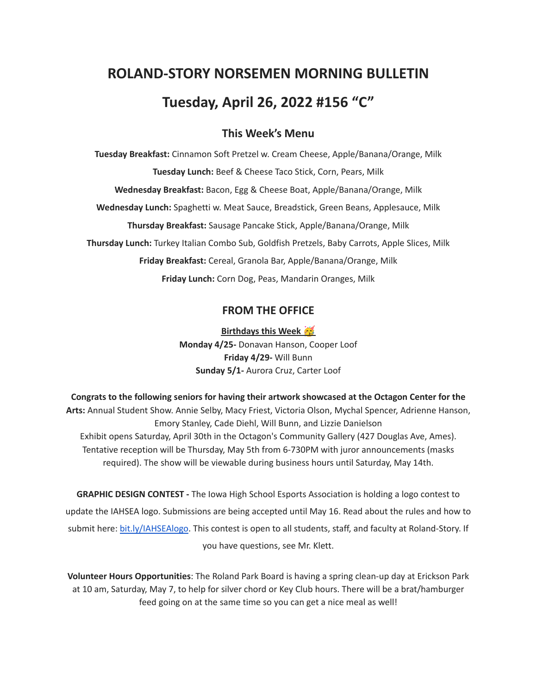# **ROLAND-STORY NORSEMEN MORNING BULLETIN Tuesday, April 26, 2022 #156 "C"**

# **This Week's Menu**

**Tuesday Breakfast:** Cinnamon Soft Pretzel w. Cream Cheese, Apple/Banana/Orange, Milk **Tuesday Lunch:** Beef & Cheese Taco Stick, Corn, Pears, Milk **Wednesday Breakfast:** Bacon, Egg & Cheese Boat, Apple/Banana/Orange, Milk **Wednesday Lunch:** Spaghetti w. Meat Sauce, Breadstick, Green Beans, Applesauce, Milk **Thursday Breakfast:** Sausage Pancake Stick, Apple/Banana/Orange, Milk **Thursday Lunch:** Turkey Italian Combo Sub, Goldfish Pretzels, Baby Carrots, Apple Slices, Milk **Friday Breakfast:** Cereal, Granola Bar, Apple/Banana/Orange, Milk **Friday Lunch:** Corn Dog, Peas, Mandarin Oranges, Milk

# **FROM THE OFFICE**

**Birthdays this Week Monday 4/25-** Donavan Hanson, Cooper Loof **Friday 4/29-** Will Bunn **Sunday 5/1-** Aurora Cruz, Carter Loof

**Congrats to the following seniors for having their artwork showcased at the Octagon Center for the Arts:** Annual Student Show. Annie Selby, Macy Friest, Victoria Olson, Mychal Spencer, Adrienne Hanson, Emory Stanley, Cade Diehl, Will Bunn, and Lizzie Danielson Exhibit opens Saturday, April 30th in the Octagon's Community Gallery (427 Douglas Ave, Ames). Tentative reception will be Thursday, May 5th from 6-730PM with juror announcements (masks required). The show will be viewable during business hours until Saturday, May 14th.

**GRAPHIC DESIGN CONTEST -** The Iowa High School Esports Association is holding a logo contest to update the IAHSEA logo. Submissions are being accepted until May 16. Read about the rules and how to submit here: [bit.ly/IAHSEAlogo.](http://bit.ly/IAHSEAlogo) This contest is open to all students, staff, and faculty at Roland-Story. If you have questions, see Mr. Klett.

**Volunteer Hours Opportunities**: The Roland Park Board is having a spring clean-up day at Erickson Park at 10 am, Saturday, May 7, to help for silver chord or Key Club hours. There will be a brat/hamburger feed going on at the same time so you can get a nice meal as well!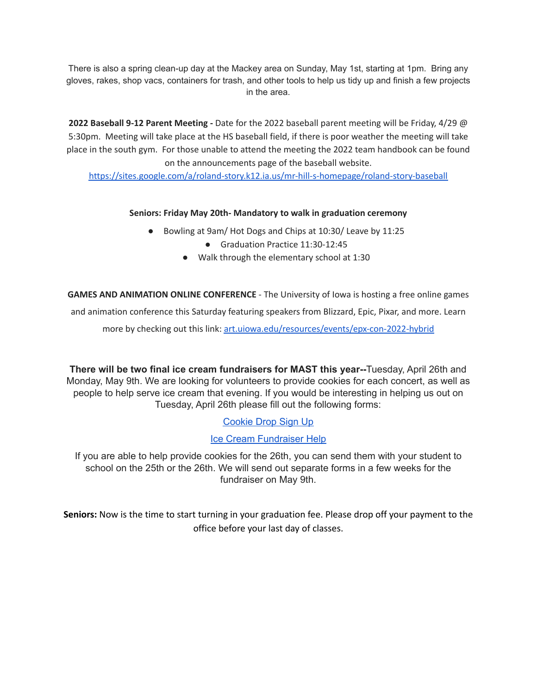There is also a spring clean-up day at the Mackey area on Sunday, May 1st, starting at 1pm. Bring any gloves, rakes, shop vacs, containers for trash, and other tools to help us tidy up and finish a few projects in the area.

**2022 Baseball 9-12 Parent Meeting -** Date for the 2022 baseball parent meeting will be Friday, 4/29 @ 5:30pm. Meeting will take place at the HS baseball field, if there is poor weather the meeting will take place in the south gym. For those unable to attend the meeting the 2022 team handbook can be found on the announcements page of the baseball website.

<https://sites.google.com/a/roland-story.k12.ia.us/mr-hill-s-homepage/roland-story-baseball>

#### **Seniors: Friday May 20th- Mandatory to walk in graduation ceremony**

- Bowling at 9am/ Hot Dogs and Chips at 10:30/ Leave by 11:25
	- Graduation Practice 11:30-12:45
	- Walk through the elementary school at 1:30

**GAMES AND ANIMATION ONLINE CONFERENCE** - The University of Iowa is hosting a free online games and animation conference this Saturday featuring speakers from Blizzard, Epic, Pixar, and more. Learn more by checking out this link: [art.uiowa.edu/resources/events/epx-con-2022-hybrid](http://art.uiowa.edu/resources/events/epx-con-2022-hybrid)

**There will be two final ice cream fundraisers for MAST this year--**Tuesday, April 26th and Monday, May 9th. We are looking for volunteers to provide cookies for each concert, as well as people to help serve ice cream that evening. If you would be interesting in helping us out on Tuesday, April 26th please fill out the following forms:

[Cookie](https://www.signupgenius.com/go/4090c45acac2ba31-rsmast2) Drop Sign Up

# Ice Cream [Fundraiser](https://www.signupgenius.com/go/4090c45acac2ba31-rsmast3) Help

If you are able to help provide cookies for the 26th, you can send them with your student to school on the 25th or the 26th. We will send out separate forms in a few weeks for the fundraiser on May 9th.

**Seniors:** Now is the time to start turning in your graduation fee. Please drop off your payment to the office before your last day of classes.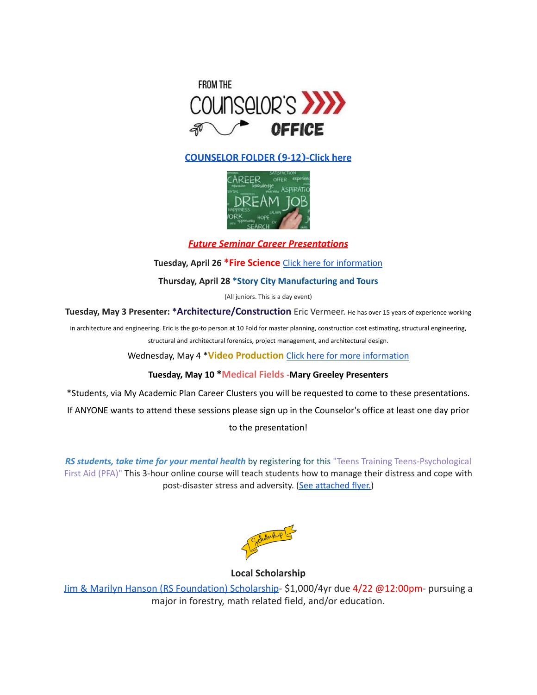

# **[COUNSELOR FOLDER](https://docs.google.com/document/d/1vmwczNPbDzXe9vFaG5LJMQ7NYDv-i4oQJHybqA65TUc/edit?usp=sharing) (9-12)-Click here**



## *Future Seminar Career Presentations*

**Tuesday, April 26 \*Fire Science** Click here for [information](https://www.dmacc.edu/programs/fire/Pages/welcome.aspx)

**Thursday, April 28 \*Story City Manufacturing and Tours**

(All juniors. This is a day event)

**Tuesday, May 3 Presenter: \*Architecture/Construction** Eric Vermeer. He has over <sup>15</sup> years of experience working

in architecture and engineering. Eric is the go-to person at 10 Fold for master planning, construction cost estimating, structural engineering, structural and architectural forensics, project management, and architectural design.

Wednesday, May 4 \***Video Production** Click here for more [information](https://www.dmacc.edu/programs/video/Pages/welcome.aspx)

**Tuesday, May 10 \*Medical Fields -Mary Greeley Presenters**

\*Students, via My Academic Plan Career Clusters you will be requested to come to these presentations.

If ANYONE wants to attend these sessions please sign up in the Counselor's office at least one day prior

to the presentation!

*RS students, take time for your mental health* by registering for this "Teens Training Teens-Psychological First Aid (PFA)" This 3-hour online course will teach students how to manage their distress and cope with post-disaster stress and adversity. (See [attached](https://drive.google.com/file/d/18ZxsDgb9mTVccDP5AD1ejwqoEi1MNUwE/view?usp=sharing) flyer.)



#### **Local Scholarship**

[Jim & Marilyn Hanson \(RS Foundation\) Scholarship](https://docs.google.com/document/d/1ZTlh8dBWKYLTE2ZXAX8cFE_071yzMHCiRBXRqeR_Sv8/edit?usp=sharing)- \$1,000/4yr due 4/22 @12:00pm- pursuing a major in forestry, math related field, and/or education.